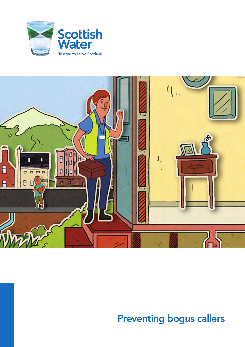



# Preventing bogus callers